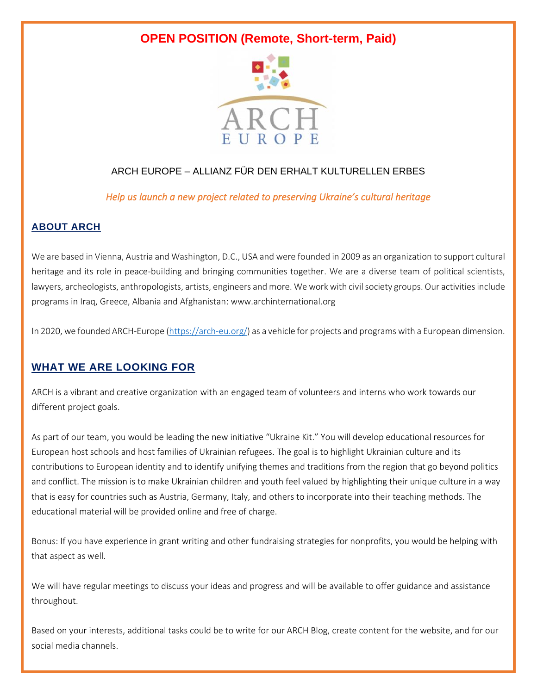# **OPEN POSITION (Remote, Short-term, Paid)**



# ARCH EUROPE – ALLIANZ FÜR DEN ERHALT KULTURELLEN ERBES

*Help us launch a new project related to preserving Ukraine's cultural heritage* 

### **ABOUT ARCH**

We are based in Vienna, Austria and Washington, D.C., USA and were founded in 2009 as an organization to support cultural heritage and its role in peace-building and bringing communities together. We are a diverse team of political scientists, lawyers, archeologists, anthropologists, artists, engineers and more. We work with civil society groups. Our activities include programs in Iraq, Greece, Albania and Afghanistan: www.archinternational.org

In 2020, we founded ARCH-Europe [\(https://arch-eu.org/\)](https://arch-eu.org/) as a vehicle for projects and programs with a European dimension.

## **WHAT WE ARE LOOKING FOR**

ARCH is a vibrant and creative organization with an engaged team of volunteers and interns who work towards our different project goals.

As part of our team, you would be leading the new initiative "Ukraine Kit." You will develop educational resources for European host schools and host families of Ukrainian refugees. The goal is to highlight Ukrainian culture and its contributions to European identity and to identify unifying themes and traditions from the region that go beyond politics and conflict. The mission is to make Ukrainian children and youth feel valued by highlighting their unique culture in a way that is easy for countries such as Austria, Germany, Italy, and others to incorporate into their teaching methods. The educational material will be provided online and free of charge.

Bonus: If you have experience in grant writing and other fundraising strategies for nonprofits, you would be helping with that aspect as well.

We will have regular meetings to discuss your ideas and progress and will be available to offer guidance and assistance throughout.

Based on your interests, additional tasks could be to write for our ARCH Blog, create content for the website, and for our social media channels.